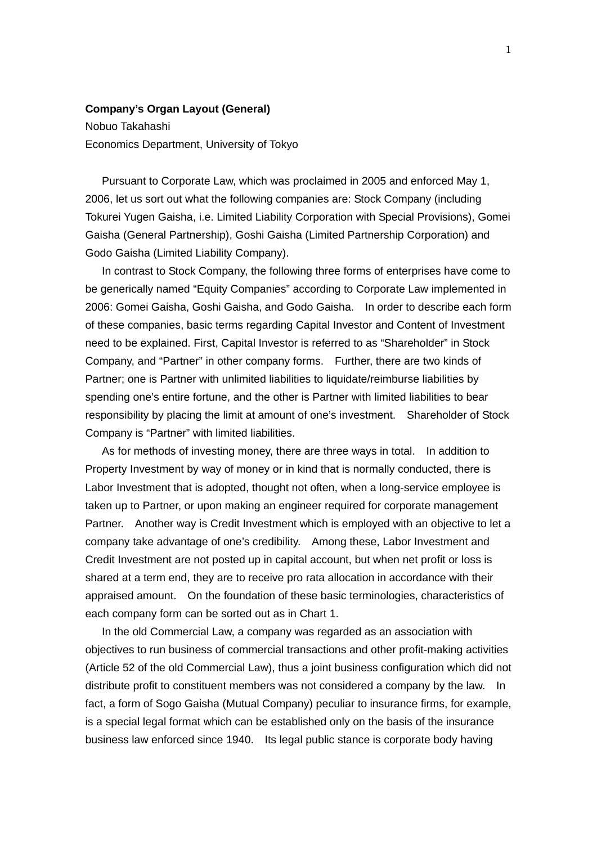## **Company's Organ Layout (General)**

Nobuo Takahashi Economics Department, University of Tokyo

 Pursuant to Corporate Law, which was proclaimed in 2005 and enforced May 1, 2006, let us sort out what the following companies are: Stock Company (including Tokurei Yugen Gaisha, i.e. Limited Liability Corporation with Special Provisions), Gomei Gaisha (General Partnership), Goshi Gaisha (Limited Partnership Corporation) and Godo Gaisha (Limited Liability Company).

 In contrast to Stock Company, the following three forms of enterprises have come to be generically named "Equity Companies" according to Corporate Law implemented in 2006: Gomei Gaisha, Goshi Gaisha, and Godo Gaisha. In order to describe each form of these companies, basic terms regarding Capital Investor and Content of Investment need to be explained. First, Capital Investor is referred to as "Shareholder" in Stock Company, and "Partner" in other company forms. Further, there are two kinds of Partner; one is Partner with unlimited liabilities to liquidate/reimburse liabilities by spending one's entire fortune, and the other is Partner with limited liabilities to bear responsibility by placing the limit at amount of one's investment. Shareholder of Stock Company is "Partner" with limited liabilities.

 As for methods of investing money, there are three ways in total. In addition to Property Investment by way of money or in kind that is normally conducted, there is Labor Investment that is adopted, thought not often, when a long-service employee is taken up to Partner, or upon making an engineer required for corporate management Partner. Another way is Credit Investment which is employed with an objective to let a company take advantage of one's credibility. Among these, Labor Investment and Credit Investment are not posted up in capital account, but when net profit or loss is shared at a term end, they are to receive pro rata allocation in accordance with their appraised amount. On the foundation of these basic terminologies, characteristics of each company form can be sorted out as in Chart 1.

 In the old Commercial Law, a company was regarded as an association with objectives to run business of commercial transactions and other profit-making activities (Article 52 of the old Commercial Law), thus a joint business configuration which did not distribute profit to constituent members was not considered a company by the law. In fact, a form of Sogo Gaisha (Mutual Company) peculiar to insurance firms, for example, is a special legal format which can be established only on the basis of the insurance business law enforced since 1940. Its legal public stance is corporate body having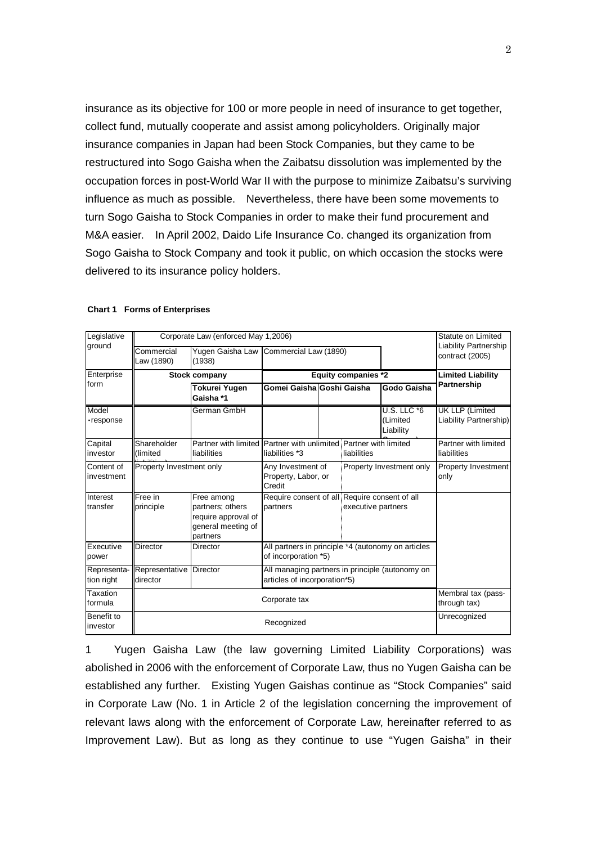insurance as its objective for 100 or more people in need of insurance to get together, collect fund, mutually cooperate and assist among policyholders. Originally major insurance companies in Japan had been Stock Companies, but they came to be restructured into Sogo Gaisha when the Zaibatsu dissolution was implemented by the occupation forces in post-World War II with the purpose to minimize Zaibatsu's surviving influence as much as possible. Nevertheless, there have been some movements to turn Sogo Gaisha to Stock Companies in order to make their fund procurement and M&A easier. In April 2002, Daido Life Insurance Co. changed its organization from Sogo Gaisha to Stock Company and took it public, on which occasion the stocks were delivered to its insurance policy holders.

| Legislative               | Corporate Law (enforced May 1,2006) |                                                                                         |                                                                                 |             |                          |                                             | Statute on Limited                                |
|---------------------------|-------------------------------------|-----------------------------------------------------------------------------------------|---------------------------------------------------------------------------------|-------------|--------------------------|---------------------------------------------|---------------------------------------------------|
| ground                    | Commercial<br>Law (1890)            | (1938)                                                                                  | Yugen Gaisha Law Commercial Law (1890)                                          |             |                          |                                             | <b>Liability Partnership</b><br>contract (2005)   |
| Enterprise                | Stock company                       |                                                                                         | <b>Equity companies *2</b>                                                      |             |                          |                                             | <b>Limited Liability</b>                          |
| form                      |                                     | <b>Tokurei Yugen</b><br>Gaisha *1                                                       | Gomei Gaisha Goshi Gaisha                                                       |             |                          | Godo Gaisha                                 | Partnership                                       |
| Model<br>·response        |                                     | German GmbH                                                                             |                                                                                 |             |                          | <b>U.S. LLC *6</b><br>(Limited<br>Liability | <b>UK LLP (Limited)</b><br>Liability Partnership) |
| Capital<br>investor       | Shareholder<br>(limited             | Partner with limited Partner with unlimited Partner with limited<br>liabilities         | liabilities *3                                                                  | liabilities |                          |                                             | Partner with limited<br>liabilities               |
| Content of<br>investment  | Property Investment only            |                                                                                         | Any Investment of<br>Property, Labor, or<br>Credit                              |             | Property Investment only |                                             | Property Investment<br>only                       |
| Interest<br>transfer      | Free in<br>principle                | Free among<br>partners; others<br>require approval of<br>general meeting of<br>partners | Require consent of all Require consent of all<br>partners                       |             | executive partners       |                                             |                                                   |
| Executive<br>power        | Director                            | Director                                                                                | All partners in principle *4 (autonomy on articles<br>of incorporation *5)      |             |                          |                                             |                                                   |
| Representa-<br>tion right | Representative<br>director          | <b>Director</b>                                                                         | All managing partners in principle (autonomy on<br>articles of incorporation*5) |             |                          |                                             |                                                   |
| Taxation<br>formula       | Corporate tax                       |                                                                                         |                                                                                 |             |                          |                                             | Membral tax (pass-<br>through tax)                |
| Benefit to<br>investor    | Recognized                          |                                                                                         |                                                                                 |             |                          |                                             | Unrecognized                                      |

## **Chart 1 Forms of Enterprises**

1 Yugen Gaisha Law (the law governing Limited Liability Corporations) was abolished in 2006 with the enforcement of Corporate Law, thus no Yugen Gaisha can be established any further. Existing Yugen Gaishas continue as "Stock Companies" said in Corporate Law (No. 1 in Article 2 of the legislation concerning the improvement of relevant laws along with the enforcement of Corporate Law, hereinafter referred to as Improvement Law). But as long as they continue to use "Yugen Gaisha" in their